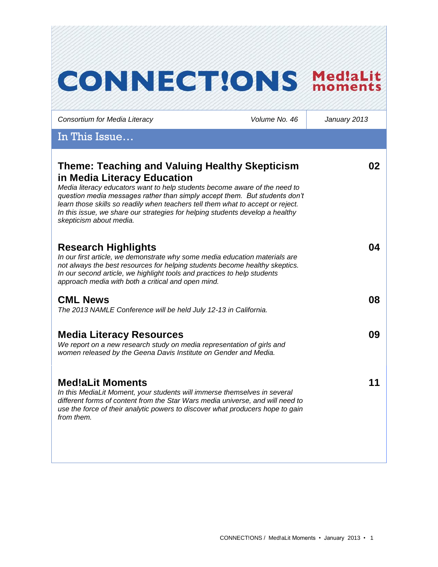| <b>CONNECT!ONS</b>                                                                                                                                                                                                                                                                                                                                                                                                                              |               | Med!aLit<br>moments |
|-------------------------------------------------------------------------------------------------------------------------------------------------------------------------------------------------------------------------------------------------------------------------------------------------------------------------------------------------------------------------------------------------------------------------------------------------|---------------|---------------------|
| Consortium for Media Literacy                                                                                                                                                                                                                                                                                                                                                                                                                   | Volume No. 46 | January 2013        |
| In This Issue                                                                                                                                                                                                                                                                                                                                                                                                                                   |               |                     |
| <b>Theme: Teaching and Valuing Healthy Skepticism</b><br>in Media Literacy Education<br>Media literacy educators want to help students become aware of the need to<br>question media messages rather than simply accept them. But students don't<br>learn those skills so readily when teachers tell them what to accept or reject.<br>In this issue, we share our strategies for helping students develop a healthy<br>skepticism about media. |               | 02                  |
| <b>Research Highlights</b><br>In our first article, we demonstrate why some media education materials are<br>not always the best resources for helping students become healthy skeptics.<br>In our second article, we highlight tools and practices to help students<br>approach media with both a critical and open mind.                                                                                                                      |               | 04                  |
| <b>CML News</b><br>The 2013 NAMLE Conference will be held July 12-13 in California.                                                                                                                                                                                                                                                                                                                                                             |               | 08                  |
| <b>Media Literacy Resources</b><br>We report on a new research study on media representation of girls and<br>women released by the Geena Davis Institute on Gender and Media.                                                                                                                                                                                                                                                                   |               | 09                  |
| <b>Med!aLit Moments</b><br>In this MediaLit Moment, your students will immerse themselves in several<br>different forms of content from the Star Wars media universe, and will need to<br>use the force of their analytic powers to discover what producers hope to gain<br>from them.                                                                                                                                                          |               | 11                  |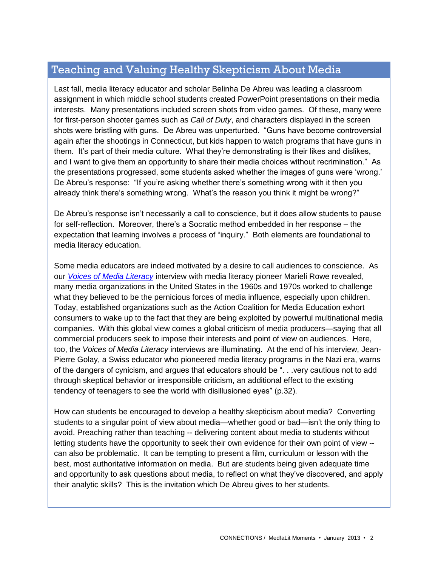# Teaching and Valuing Healthy Skepticism About Media

Last fall, media literacy educator and scholar Belinha De Abreu was leading a classroom assignment in which middle school students created PowerPoint presentations on their media interests. Many presentations included screen shots from video games. Of these, many were for first-person shooter games such as *Call of Duty*, and characters displayed in the screen shots were bristling with guns. De Abreu was unperturbed. "Guns have become controversial again after the shootings in Connecticut, but kids happen to watch programs that have guns in them. It's part of their media culture. What they're demonstrating is their likes and dislikes, and I want to give them an opportunity to share their media choices without recrimination." As the presentations progressed, some students asked whether the images of guns were 'wrong.' De Abreu's response: "If you're asking whether there's something wrong with it then you already think there's something wrong. What's the reason you think it might be wrong?"

De Abreu's response isn't necessarily a call to conscience, but it does allow students to pause for self-reflection. Moreover, there's a Socratic method embedded in her response – the expectation that learning involves a process of "inquiry." Both elements are foundational to media literacy education.

Some media educators are indeed motivated by a desire to call audiences to conscience. As our *[Voices of Media Literacy](http://www.medialit.org/voices-media-literacy-international-pioneers-speak)* interview with media literacy pioneer Marieli Rowe revealed, many media organizations in the United States in the 1960s and 1970s worked to challenge what they believed to be the pernicious forces of media influence, especially upon children. Today, established organizations such as the Action Coalition for Media Education exhort consumers to wake up to the fact that they are being exploited by powerful multinational media companies. With this global view comes a global criticism of media producers—saying that all commercial producers seek to impose their interests and point of view on audiences. Here, too, the *Voices of Media Literacy* interviews are illuminating. At the end of his interview, Jean-Pierre Golay, a Swiss educator who pioneered media literacy programs in the Nazi era, warns of the dangers of cynicism, and argues that educators should be ". . .very cautious not to add through skeptical behavior or irresponsible criticism, an additional effect to the existing tendency of teenagers to see the world with disillusioned eyes" (p.32).

How can students be encouraged to develop a healthy skepticism about media? Converting students to a singular point of view about media—whether good or bad—isn't the only thing to avoid. Preaching rather than teaching -- delivering content about media to students without letting students have the opportunity to seek their own evidence for their own point of view - can also be problematic. It can be tempting to present a film, curriculum or lesson with the best, most authoritative information on media. But are students being given adequate time and opportunity to ask questions about media, to reflect on what they've discovered, and apply their analytic skills? This is the invitation which De Abreu gives to her students.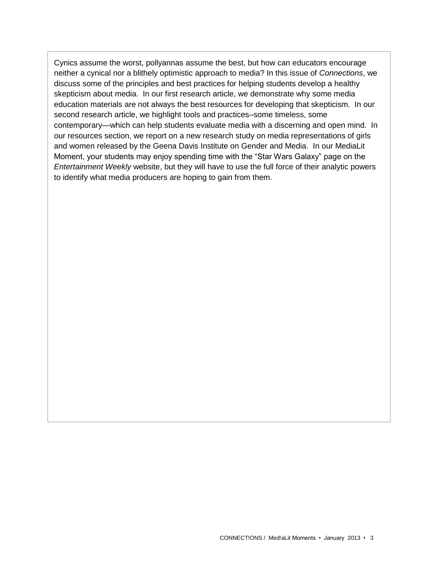Cynics assume the worst, pollyannas assume the best, but how can educators encourage neither a cynical nor a blithely optimistic approach to media? In this issue of *Connections*, we discuss some of the principles and best practices for helping students develop a healthy skepticism about media. In our first research article, we demonstrate why some media education materials are not always the best resources for developing that skepticism. In our second research article, we highlight tools and practices–some timeless, some contemporary—which can help students evaluate media with a discerning and open mind. In our resources section, we report on a new research study on media representations of girls and women released by the Geena Davis Institute on Gender and Media. In our MediaLit Moment, your students may enjoy spending time with the "Star Wars Galaxy" page on the *Entertainment Weekly* website, but they will have to use the full force of their analytic powers to identify what media producers are hoping to gain from them.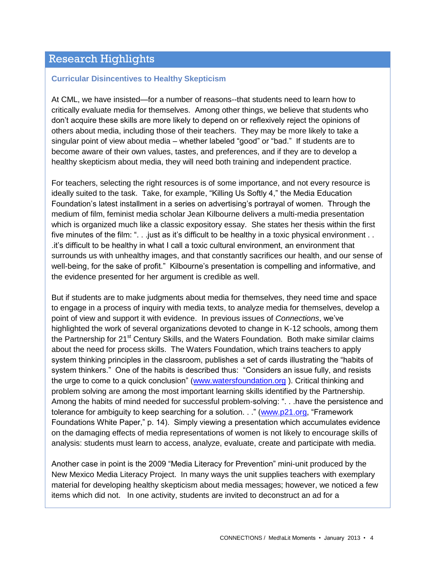## Research Highlights

#### **Curricular Disincentives to Healthy Skepticism**

At CML, we have insisted—for a number of reasons--that students need to learn how to critically evaluate media for themselves. Among other things, we believe that students who don't acquire these skills are more likely to depend on or reflexively reject the opinions of others about media, including those of their teachers. They may be more likely to take a singular point of view about media – whether labeled "good" or "bad." If students are to become aware of their own values, tastes, and preferences, and if they are to develop a healthy skepticism about media, they will need both training and independent practice.

For teachers, selecting the right resources is of some importance, and not every resource is ideally suited to the task. Take, for example, "Killing Us Softly 4," the Media Education Foundation's latest installment in a series on advertising's portrayal of women. Through the medium of film, feminist media scholar Jean Kilbourne delivers a multi-media presentation which is organized much like a classic expository essay. She states her thesis within the first five minutes of the film: ". . . just as it's difficult to be healthy in a toxic physical environment . . .it's difficult to be healthy in what I call a toxic cultural environment, an environment that surrounds us with unhealthy images, and that constantly sacrifices our health, and our sense of well-being, for the sake of profit." Kilbourne's presentation is compelling and informative, and the evidence presented for her argument is credible as well.

But if students are to make judgments about media for themselves, they need time and space to engage in a process of inquiry with media texts, to analyze media for themselves, develop a point of view and support it with evidence. In previous issues of *Connections*, we've highlighted the work of several organizations devoted to change in K-12 schools, among them the Partnership for 21<sup>st</sup> Century Skills, and the Waters Foundation. Both make similar claims about the need for process skills. The Waters Foundation, which trains teachers to apply system thinking principles in the classroom, publishes a set of cards illustrating the "habits of system thinkers." One of the habits is described thus: "Considers an issue fully, and resists the urge to come to a quick conclusion" [\(www.watersfoundation.org](http://www.watersfoundation.org/) ). Critical thinking and problem solving are among the most important learning skills identified by the Partnership. Among the habits of mind needed for successful problem-solving: ". . .have the persistence and tolerance for ambiguity to keep searching for a solution. . ." [\(www.p21.org,](http://www.p21.org/) "Framework Foundations White Paper," p. 14). Simply viewing a presentation which accumulates evidence on the damaging effects of media representations of women is not likely to encourage skills of analysis: students must learn to access, analyze, evaluate, create and participate with media.

Another case in point is the 2009 "Media Literacy for Prevention" mini-unit produced by the New Mexico Media Literacy Project. In many ways the unit supplies teachers with exemplary material for developing healthy skepticism about media messages; however, we noticed a few items which did not. In one activity, students are invited to deconstruct an ad for a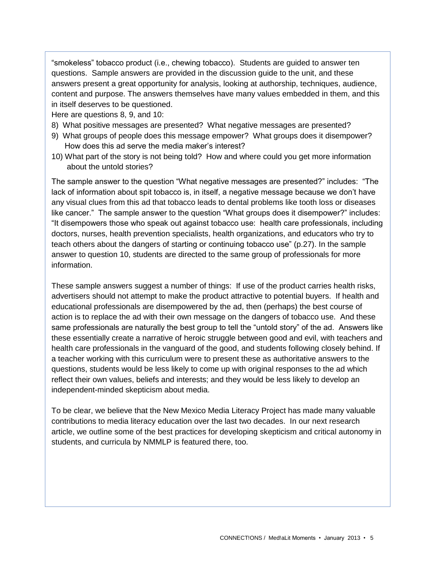"smokeless" tobacco product (i.e., chewing tobacco). Students are guided to answer ten questions. Sample answers are provided in the discussion guide to the unit, and these answers present a great opportunity for analysis, looking at authorship, techniques, audience, content and purpose. The answers themselves have many values embedded in them, and this in itself deserves to be questioned.

Here are questions 8, 9, and 10:

- 8) What positive messages are presented? What negative messages are presented?
- 9) What groups of people does this message empower? What groups does it disempower? How does this ad serve the media maker's interest?
- 10) What part of the story is not being told? How and where could you get more information about the untold stories?

The sample answer to the question "What negative messages are presented?" includes: "The lack of information about spit tobacco is, in itself, a negative message because we don't have any visual clues from this ad that tobacco leads to dental problems like tooth loss or diseases like cancer." The sample answer to the question "What groups does it disempower?" includes: "It disempowers those who speak out against tobacco use: health care professionals, including doctors, nurses, health prevention specialists, health organizations, and educators who try to teach others about the dangers of starting or continuing tobacco use" (p.27). In the sample answer to question 10, students are directed to the same group of professionals for more information.

These sample answers suggest a number of things: If use of the product carries health risks, advertisers should not attempt to make the product attractive to potential buyers. If health and educational professionals are disempowered by the ad, then (perhaps) the best course of action is to replace the ad with their own message on the dangers of tobacco use. And these same professionals are naturally the best group to tell the "untold story" of the ad. Answers like these essentially create a narrative of heroic struggle between good and evil, with teachers and health care professionals in the vanguard of the good, and students following closely behind. If a teacher working with this curriculum were to present these as authoritative answers to the questions, students would be less likely to come up with original responses to the ad which reflect their own values, beliefs and interests; and they would be less likely to develop an independent-minded skepticism about media.

To be clear, we believe that the New Mexico Media Literacy Project has made many valuable contributions to media literacy education over the last two decades. In our next research article, we outline some of the best practices for developing skepticism and critical autonomy in students, and curricula by NMMLP is featured there, too.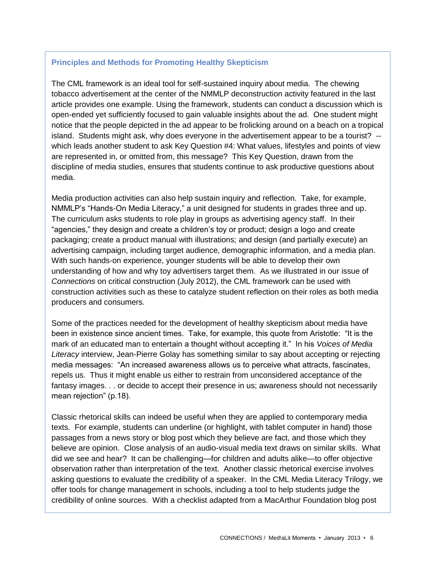#### **Principles and Methods for Promoting Healthy Skepticism**

The CML framework is an ideal tool for self-sustained inquiry about media. The chewing tobacco advertisement at the center of the NMMLP deconstruction activity featured in the last article provides one example. Using the framework, students can conduct a discussion which is open-ended yet sufficiently focused to gain valuable insights about the ad. One student might notice that the people depicted in the ad appear to be frolicking around on a beach on a tropical island. Students might ask, why does everyone in the advertisement appear to be a tourist? - which leads another student to ask Key Question #4: What values, lifestyles and points of view are represented in, or omitted from, this message? This Key Question, drawn from the discipline of media studies, ensures that students continue to ask productive questions about media.

Media production activities can also help sustain inquiry and reflection. Take, for example, NMMLP's "Hands-On Media Literacy," a unit designed for students in grades three and up. The curriculum asks students to role play in groups as advertising agency staff. In their "agencies," they design and create a children's toy or product; design a logo and create packaging; create a product manual with illustrations; and design (and partially execute) an advertising campaign, including target audience, demographic information, and a media plan. With such hands-on experience, younger students will be able to develop their own understanding of how and why toy advertisers target them. As we illustrated in our issue of *Connections* on critical construction (July 2012), the CML framework can be used with construction activities such as these to catalyze student reflection on their roles as both media producers and consumers.

Some of the practices needed for the development of healthy skepticism about media have been in existence since ancient times. Take, for example, this quote from Aristotle: "It is the mark of an educated man to entertain a thought without accepting it." In his *Voices of Media Literacy* interview, Jean-Pierre Golay has something similar to say about accepting or rejecting media messages: "An increased awareness allows us to perceive what attracts, fascinates, repels us. Thus it might enable us either to restrain from unconsidered acceptance of the fantasy images. . . or decide to accept their presence in us; awareness should not necessarily mean rejection" (p.18).

Classic rhetorical skills can indeed be useful when they are applied to contemporary media texts. For example, students can underline (or highlight, with tablet computer in hand) those passages from a news story or blog post which they believe are fact, and those which they believe are opinion. Close analysis of an audio-visual media text draws on similar skills. What did we see and hear? It can be challenging—for children and adults alike—to offer objective observation rather than interpretation of the text. Another classic rhetorical exercise involves asking questions to evaluate the credibility of a speaker. In the CML Media Literacy Trilogy, we offer tools for change management in schools, including a tool to help students judge the credibility of online sources. With a checklist adapted from a MacArthur Foundation blog post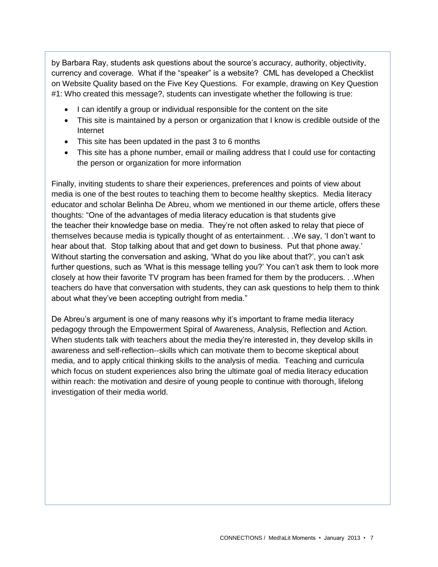by Barbara Ray, students ask questions about the source's accuracy, authority, objectivity, currency and coverage. What if the "speaker" is a website? CML has developed a Checklist on Website Quality based on the Five Key Questions. For example, drawing on Key Question #1: Who created this message?, students can investigate whether the following is true:

- I can identify a group or individual responsible for the content on the site
- This site is maintained by a person or organization that I know is credible outside of the Internet
- This site has been updated in the past 3 to 6 months
- This site has a phone number, email or mailing address that I could use for contacting the person or organization for more information

Finally, inviting students to share their experiences, preferences and points of view about media is one of the best routes to teaching them to become healthy skeptics. Media literacy educator and scholar Belinha De Abreu, whom we mentioned in our theme article, offers these thoughts: "One of the advantages of media literacy education is that students give the teacher their knowledge base on media. They're not often asked to relay that piece of themselves because media is typically thought of as entertainment. . .We say, 'I don't want to hear about that. Stop talking about that and get down to business. Put that phone away.' Without starting the conversation and asking, 'What do you like about that?', you can't ask further questions, such as 'What is this message telling you?' You can't ask them to look more closely at how their favorite TV program has been framed for them by the producers. . .When teachers do have that conversation with students, they can ask questions to help them to think about what they've been accepting outright from media."

De Abreu's argument is one of many reasons why it's important to frame media literacy pedagogy through the Empowerment Spiral of Awareness, Analysis, Reflection and Action. When students talk with teachers about the media they're interested in, they develop skills in awareness and self-reflection--skills which can motivate them to become skeptical about media, and to apply critical thinking skills to the analysis of media. Teaching and curricula which focus on student experiences also bring the ultimate goal of media literacy education within reach: the motivation and desire of young people to continue with thorough, lifelong investigation of their media world.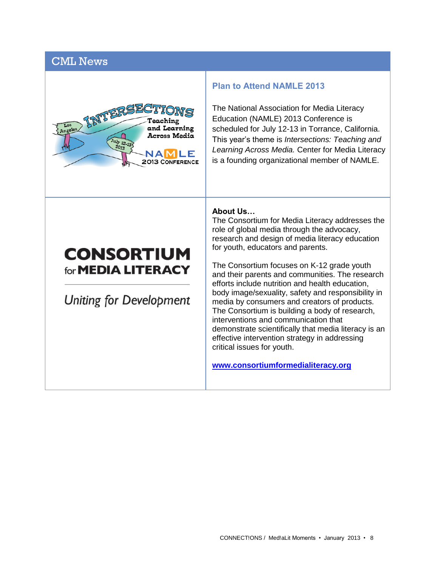## CML News



#### **Plan to Attend NAMLE 2013**

The National Association for Media Literacy Education (NAMLE) 2013 Conference is scheduled for July 12-13 in Torrance, California. This year's theme is *Intersections: Teaching and Learning Across Media.* Center for Media Literacy is a founding organizational member of NAMLE.

# **CONSORTIUM** for **MEDIA LITERACY**

Uniting for Development

#### **About Us…**

The Consortium for Media Literacy addresses the role of global media through the advocacy, research and design of media literacy education for youth, educators and parents.

The Consortium focuses on K-12 grade youth and their parents and communities. The research efforts include nutrition and health education, body image/sexuality, safety and responsibility in media by consumers and creators of products. The Consortium is building a body of research, interventions and communication that demonstrate scientifically that media literacy is an effective intervention strategy in addressing critical issues for youth.

**[www.consortiumformedialiteracy.org](file:///C:/Users/BethanyT/Documents/www.consortiumformedialiteracy.org)**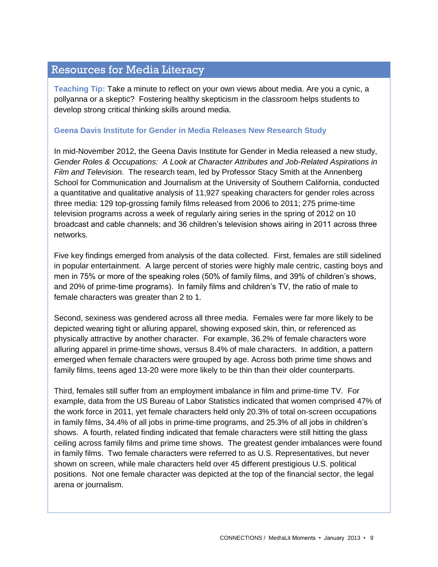## Resources for Media Literacy

**Teaching Tip:** Take a minute to reflect on your own views about media. Are you a cynic, a pollyanna or a skeptic? Fostering healthy skepticism in the classroom helps students to develop strong critical thinking skills around media.

#### **Geena Davis Institute for Gender in Media Releases New Research Study**

In mid-November 2012, the Geena Davis Institute for Gender in Media released a new study, *Gender Roles & Occupations: A Look at Character Attributes and Job-Related Aspirations in Film and Television.* The research team, led by Professor Stacy Smith at the Annenberg School for Communication and Journalism at the University of Southern California, conducted a quantitative and qualitative analysis of 11,927 speaking characters for gender roles across three media: 129 top-grossing family films released from 2006 to 2011; 275 prime-time television programs across a week of regularly airing series in the spring of 2012 on 10 broadcast and cable channels; and 36 children's television shows airing in 2011 across three networks.

Five key findings emerged from analysis of the data collected. First, females are still sidelined in popular entertainment. A large percent of stories were highly male centric, casting boys and men in 75% or more of the speaking roles (50% of family films, and 39% of children's shows, and 20% of prime-time programs). In family films and children's TV, the ratio of male to female characters was greater than 2 to 1.

Second, sexiness was gendered across all three media. Females were far more likely to be depicted wearing tight or alluring apparel, showing exposed skin, thin, or referenced as physically attractive by another character. For example, 36.2% of female characters wore alluring apparel in prime-time shows, versus 8.4% of male characters. In addition, a pattern emerged when female characters were grouped by age. Across both prime time shows and family films, teens aged 13-20 were more likely to be thin than their older counterparts.

Third, females still suffer from an employment imbalance in film and prime-time TV. For example, data from the US Bureau of Labor Statistics indicated that women comprised 47% of the work force in 2011, yet female characters held only 20.3% of total on-screen occupations in family films, 34.4% of all jobs in prime-time programs, and 25.3% of all jobs in children's shows. A fourth, related finding indicated that female characters were still hitting the glass ceiling across family films and prime time shows. The greatest gender imbalances were found in family films. Two female characters were referred to as U.S. Representatives, but never shown on screen, while male characters held over 45 different prestigious U.S. political positions. Not one female character was depicted at the top of the financial sector, the legal arena or journalism.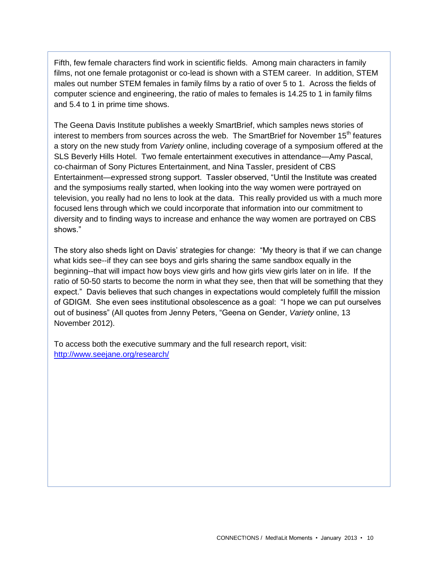Fifth, few female characters find work in scientific fields. Among main characters in family films, not one female protagonist or co-lead is shown with a STEM career. In addition, STEM males out number STEM females in family films by a ratio of over 5 to 1. Across the fields of computer science and engineering, the ratio of males to females is 14.25 to 1 in family films and 5.4 to 1 in prime time shows.

The Geena Davis Institute publishes a weekly SmartBrief, which samples news stories of interest to members from sources across the web. The SmartBrief for November  $15<sup>th</sup>$  features a story on the new study from *Variety* online, including coverage of a symposium offered at the SLS Beverly Hills Hotel. Two female entertainment executives in attendance—Amy Pascal, co-chairman of Sony Pictures Entertainment, and Nina Tassler, president of CBS Entertainment—expressed strong support. Tassler observed, "Until the Institute was created and the symposiums really started, when looking into the way women were portrayed on television, you really had no lens to look at the data. This really provided us with a much more focused lens through which we could incorporate that information into our commitment to diversity and to finding ways to increase and enhance the way women are portrayed on CBS shows."

The story also sheds light on Davis' strategies for change: "My theory is that if we can change what kids see--if they can see boys and girls sharing the same sandbox equally in the beginning--that will impact how boys view girls and how girls view girls later on in life. If the ratio of 50-50 starts to become the norm in what they see, then that will be something that they expect." Davis believes that such changes in expectations would completely fulfill the mission of GDIGM. She even sees institutional obsolescence as a goal: "I hope we can put ourselves out of business" (All quotes from Jenny Peters, "Geena on Gender, *Variety* online, 13 November 2012).

To access both the executive summary and the full research report, visit: <http://www.seejane.org/research/>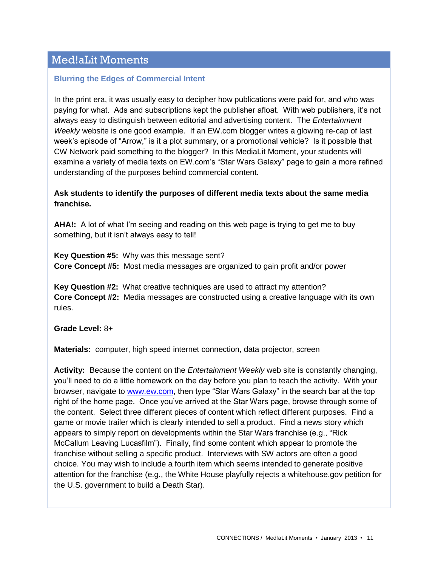## Med!aLit Moments

### **Blurring the Edges of Commercial Intent**

In the print era, it was usually easy to decipher how publications were paid for, and who was paying for what. Ads and subscriptions kept the publisher afloat. With web publishers, it's not always easy to distinguish between editorial and advertising content. The *Entertainment Weekly* website is one good example. If an EW.com blogger writes a glowing re-cap of last week's episode of "Arrow," is it a plot summary, or a promotional vehicle? Is it possible that CW Network paid something to the blogger? In this MediaLit Moment, your students will examine a variety of media texts on EW.com's "Star Wars Galaxy" page to gain a more refined understanding of the purposes behind commercial content.

## **Ask students to identify the purposes of different media texts about the same media franchise.**

**AHA!:** A lot of what I'm seeing and reading on this web page is trying to get me to buy something, but it isn't always easy to tell!

**Key Question #5:** Why was this message sent? **Core Concept #5:** Most media messages are organized to gain profit and/or power

**Key Question #2:** What creative techniques are used to attract my attention? **Core Concept #2:** Media messages are constructed using a creative language with its own rules.

**Grade Level:** 8+

**Materials:** computer, high speed internet connection, data projector, screen

**Activity:** Because the content on the *Entertainment Weekly* web site is constantly changing, you'll need to do a little homework on the day before you plan to teach the activity. With your browser, navigate to [www.ew.com,](http://www.ew.com/) then type "Star Wars Galaxy" in the search bar at the top right of the home page. Once you've arrived at the Star Wars page, browse through some of the content. Select three different pieces of content which reflect different purposes. Find a game or movie trailer which is clearly intended to sell a product. Find a news story which appears to simply report on developments within the Star Wars franchise (e.g., "Rick McCallum Leaving Lucasfilm"). Finally, find some content which appear to promote the franchise without selling a specific product. Interviews with SW actors are often a good choice. You may wish to include a fourth item which seems intended to generate positive attention for the franchise (e.g., the White House playfully rejects a whitehouse.gov petition for the U.S. government to build a Death Star).